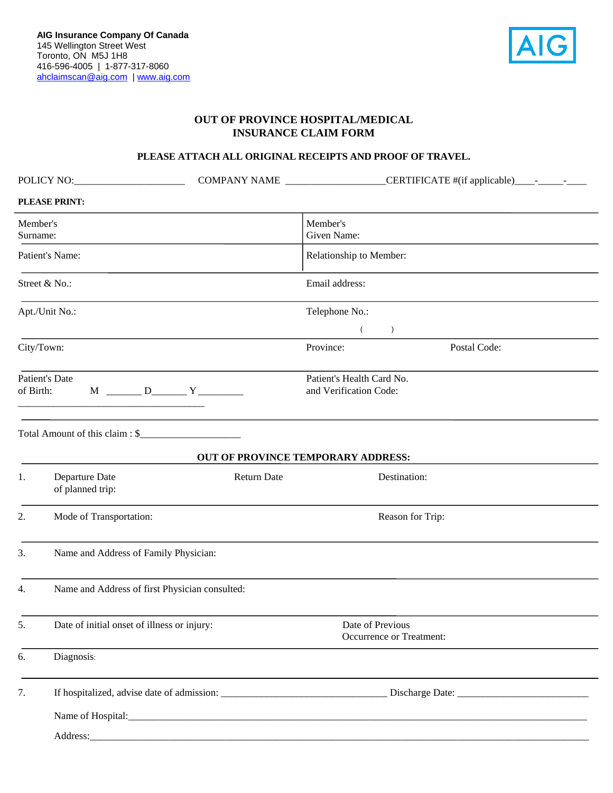

## **OUT OF PROVINCE HOSPITAL/MEDICAL INSURANCE CLAIM FORM**

## **PLEASE ATTACH ALL ORIGINAL RECEIPTS AND PROOF OF TRAVEL.**

|                             | POLICY NO:                                     |                                                                             |                                                     | COMPANY NAME ____________________CERTIFICATE #(if applicable)____________________ |  |
|-----------------------------|------------------------------------------------|-----------------------------------------------------------------------------|-----------------------------------------------------|-----------------------------------------------------------------------------------|--|
|                             | PLEASE PRINT:                                  |                                                                             |                                                     |                                                                                   |  |
| Member's<br>Surname:        |                                                |                                                                             | Member's<br>Given Name:                             |                                                                                   |  |
| Patient's Name:             |                                                |                                                                             | Relationship to Member:                             |                                                                                   |  |
| Street & No.:               |                                                |                                                                             | Email address:                                      |                                                                                   |  |
| Apt./Unit No.:              |                                                |                                                                             | Telephone No.:                                      |                                                                                   |  |
|                             |                                                |                                                                             | $\left($<br>$\left( \right)$                        |                                                                                   |  |
|                             | City/Town:                                     |                                                                             | Province:                                           | Postal Code:                                                                      |  |
| Patient's Date<br>of Birth: |                                                |                                                                             | Patient's Health Card No.<br>and Verification Code: |                                                                                   |  |
|                             | Total Amount of this claim : \$                |                                                                             | <b>OUT OF PROVINCE TEMPORARY ADDRESS:</b>           |                                                                                   |  |
| 1.                          | Departure Date<br>of planned trip:             | <b>Return Date</b>                                                          |                                                     | Destination:                                                                      |  |
| 2.                          | Mode of Transportation:                        |                                                                             | Reason for Trip:                                    |                                                                                   |  |
| 3.                          | Name and Address of Family Physician:          |                                                                             |                                                     |                                                                                   |  |
| 4.                          | Name and Address of first Physician consulted: |                                                                             |                                                     |                                                                                   |  |
| 5.                          | Date of initial onset of illness or injury:    | Date of Previous<br>Occurrence or Treatment:                                |                                                     |                                                                                   |  |
| 6.                          | Diagnosis:                                     |                                                                             |                                                     |                                                                                   |  |
| 7.                          |                                                |                                                                             |                                                     |                                                                                   |  |
|                             |                                                |                                                                             |                                                     |                                                                                   |  |
|                             | Address:                                       | <u> 1989 - Jan James James, martin de ferror eta politikaria (h. 1989).</u> |                                                     |                                                                                   |  |